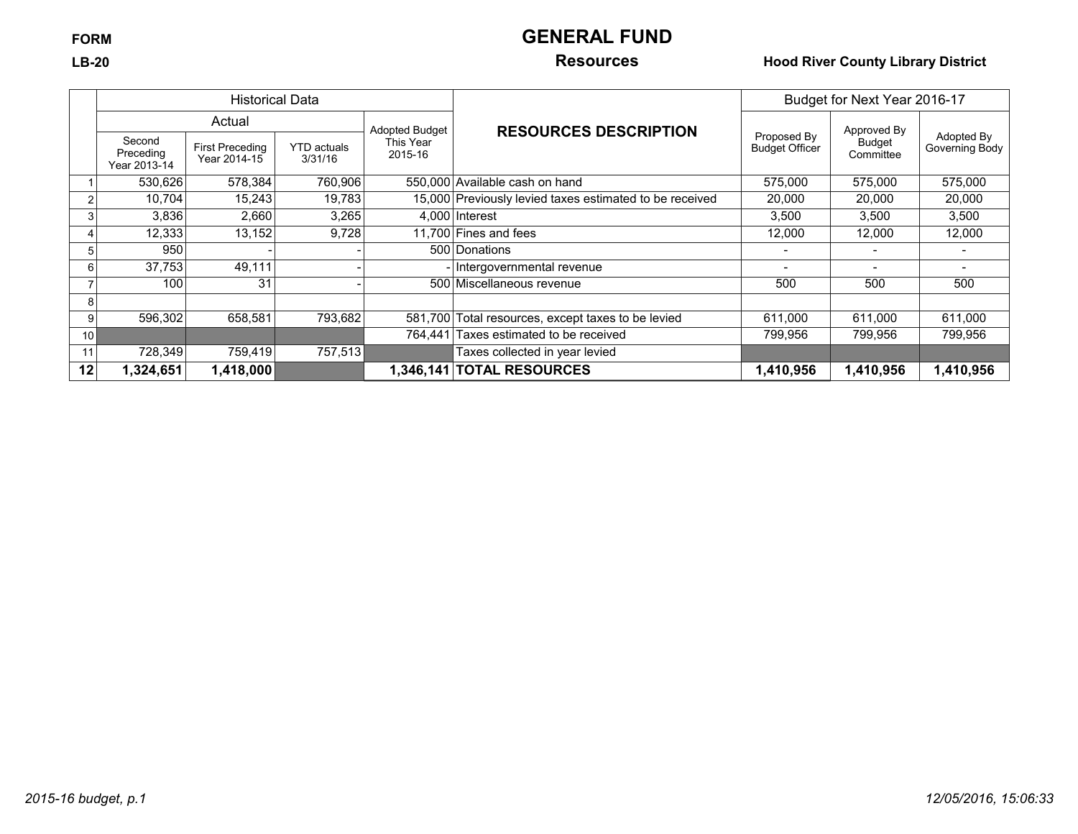## **FORM GENERAL FUND**

### **LB-20 Resources Hood River County Library District**

|                 |                                     | <b>Historical Data</b>                 |                               |                       |                                                         | Budget for Next Year 2016-17         |                            |                              |  |
|-----------------|-------------------------------------|----------------------------------------|-------------------------------|-----------------------|---------------------------------------------------------|--------------------------------------|----------------------------|------------------------------|--|
|                 |                                     | Actual                                 |                               | <b>Adopted Budget</b> | <b>RESOURCES DESCRIPTION</b>                            |                                      | Approved By                |                              |  |
|                 | Second<br>Preceding<br>Year 2013-14 | <b>First Preceding</b><br>Year 2014-15 | <b>YTD</b> actuals<br>3/31/16 | This Year<br>2015-16  |                                                         | Proposed By<br><b>Budget Officer</b> | <b>Budget</b><br>Committee | Adopted By<br>Governing Body |  |
|                 | 530,626                             | 578,384                                | 760,906                       |                       | 550,000 Available cash on hand                          | 575,000                              | 575,000                    | 575,000                      |  |
|                 | 10,704                              | 15,243                                 | 19,783                        |                       | 15,000 Previously levied taxes estimated to be received | 20,000                               | 20,000                     | 20,000                       |  |
|                 | 3,836                               | 2,660                                  | 3,265                         |                       | 4.000 Interest                                          | 3,500                                | 3,500                      | 3,500                        |  |
|                 | 12,333                              | 13,152                                 | 9,728                         |                       | 11,700 Fines and fees                                   | 12,000                               | 12,000                     | 12,000                       |  |
|                 | 950                                 |                                        |                               |                       | 500 Donations                                           |                                      |                            |                              |  |
| 6               | 37,753                              | 49,111                                 |                               |                       | - Intergovernmental revenue                             |                                      |                            |                              |  |
|                 | 100                                 | 31                                     |                               |                       | 500 Miscellaneous revenue                               | 500                                  | 500                        | 500                          |  |
| 8               |                                     |                                        |                               |                       |                                                         |                                      |                            |                              |  |
| 9               | 596,302                             | 658,581                                | 793,682                       |                       | 581,700 Total resources, except taxes to be levied      | 611,000                              | 611,000                    | 611,000                      |  |
| 10              |                                     |                                        |                               | 764,441               | Taxes estimated to be received                          | 799,956                              | 799,956                    | 799,956                      |  |
| 11              | 728,349                             | 759.419                                | 757,513                       |                       | Taxes collected in year levied                          |                                      |                            |                              |  |
| 12 <sub>1</sub> | 1,324,651                           | 1,418,000                              |                               |                       | 1,346,141 TOTAL RESOURCES                               | 1,410,956                            | 1,410,956                  | 1,410,956                    |  |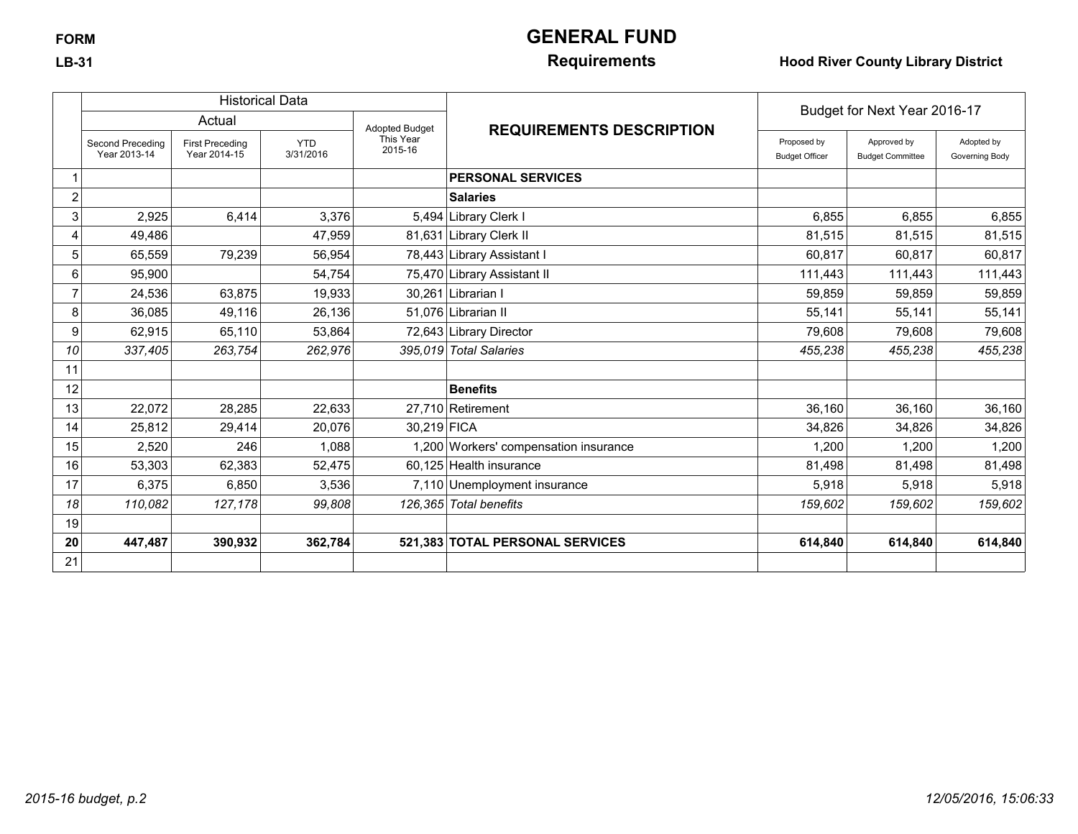# **FORM GENERAL FUND**

## **LB-31 Requirements Hood River County Library District**

|                         |                                  | <b>Historical Data</b>                 |                         |                       |                                       | Budget for Next Year 2016-17         |                                        |                              |
|-------------------------|----------------------------------|----------------------------------------|-------------------------|-----------------------|---------------------------------------|--------------------------------------|----------------------------------------|------------------------------|
|                         |                                  | Actual                                 |                         | <b>Adopted Budget</b> | <b>REQUIREMENTS DESCRIPTION</b>       |                                      |                                        |                              |
|                         | Second Preceding<br>Year 2013-14 | <b>First Preceding</b><br>Year 2014-15 | <b>YTD</b><br>3/31/2016 | This Year<br>2015-16  |                                       | Proposed by<br><b>Budget Officer</b> | Approved by<br><b>Budget Committee</b> | Adopted by<br>Governing Body |
|                         |                                  |                                        |                         |                       | <b>PERSONAL SERVICES</b>              |                                      |                                        |                              |
| $\overline{\mathbf{c}}$ |                                  |                                        |                         |                       | <b>Salaries</b>                       |                                      |                                        |                              |
| 3                       | 2,925                            | 6,414                                  | 3,376                   |                       | 5,494 Library Clerk I                 | 6,855                                | 6,855                                  | 6,855                        |
|                         | 49,486                           |                                        | 47,959                  |                       | 81,631 Library Clerk II               | 81,515                               | 81,515                                 | 81,515                       |
| 5                       | 65,559                           | 79,239                                 | 56,954                  |                       | 78,443 Library Assistant I            | 60,817                               | 60,817                                 | 60,817                       |
| 6                       | 95,900                           |                                        | 54,754                  |                       | 75,470 Library Assistant II           | 111,443                              | 111,443                                | 111,443                      |
|                         | 24,536                           | 63,875                                 | 19,933                  |                       | 30,261 Librarian I                    | 59,859                               | 59,859                                 | 59,859                       |
| 8                       | 36,085                           | 49,116                                 | 26,136                  |                       | 51,076 Librarian II                   | 55,141                               | 55.141                                 | 55,141                       |
| 9                       | 62,915                           | 65,110                                 | 53,864                  |                       | 72,643 Library Director               | 79,608                               | 79,608                                 | 79,608                       |
| 10                      | 337,405                          | 263,754                                | 262,976                 |                       | 395,019 Total Salaries                | 455,238                              | 455,238                                | 455,238                      |
| 11                      |                                  |                                        |                         |                       |                                       |                                      |                                        |                              |
| 12                      |                                  |                                        |                         |                       | <b>Benefits</b>                       |                                      |                                        |                              |
| 13                      | 22,072                           | 28,285                                 | 22,633                  |                       | 27,710 Retirement                     | 36,160                               | 36,160                                 | 36,160                       |
| 14                      | 25,812                           | 29,414                                 | 20,076                  | 30.219 FICA           |                                       | 34,826                               | 34,826                                 | 34,826                       |
| 15                      | 2,520                            | 246                                    | 1,088                   |                       | 1,200 Workers' compensation insurance | 1,200                                | 1,200                                  | 1,200                        |
| 16                      | 53,303                           | 62,383                                 | 52,475                  |                       | 60.125 Health insurance               | 81,498                               | 81,498                                 | 81,498                       |
| 17                      | 6,375                            | 6,850                                  | 3,536                   |                       | 7,110 Unemployment insurance          | 5,918                                | 5,918                                  | 5,918                        |
| 18                      | 110,082                          | 127,178                                | 99,808                  |                       | 126,365 Total benefits                | 159,602                              | 159,602                                | 159,602                      |
| 19                      |                                  |                                        |                         |                       |                                       |                                      |                                        |                              |
| 20                      | 447,487                          | 390,932                                | 362,784                 |                       | 521.383 TOTAL PERSONAL SERVICES       | 614,840                              | 614,840                                | 614,840                      |
| 21                      |                                  |                                        |                         |                       |                                       |                                      |                                        |                              |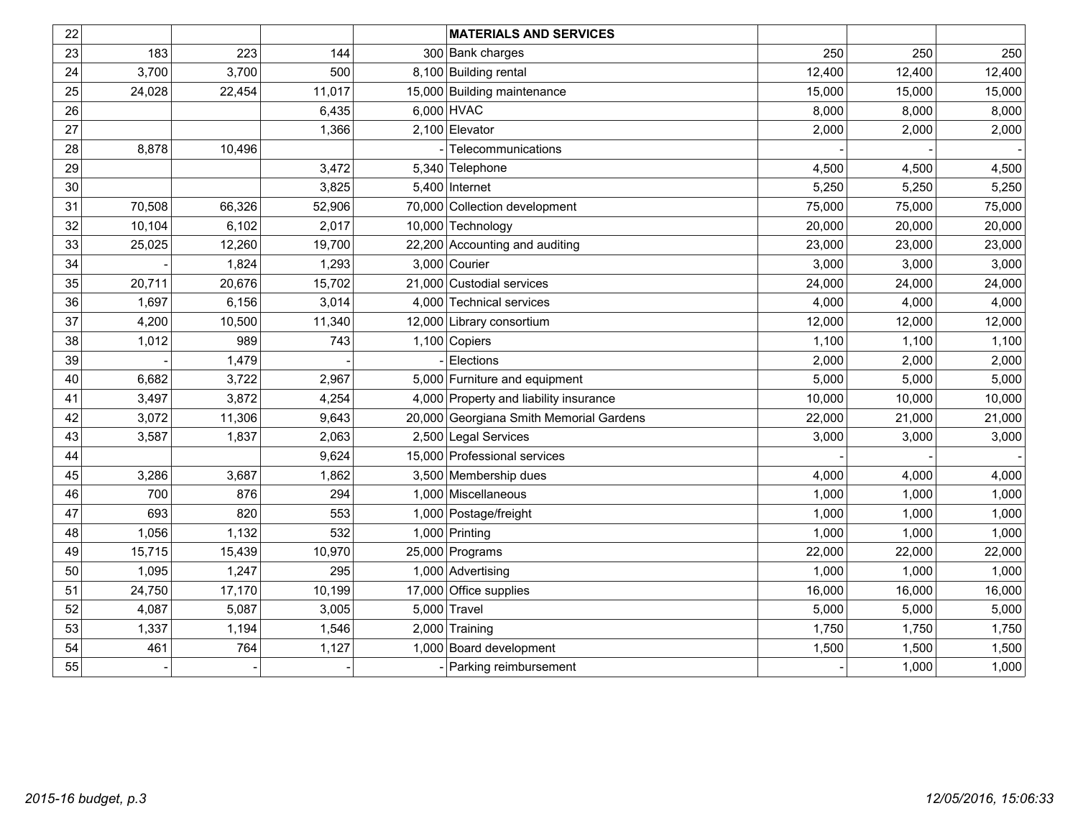| 22 |        |        |        | <b>MATERIALS AND SERVICES</b>           |        |        |        |
|----|--------|--------|--------|-----------------------------------------|--------|--------|--------|
| 23 | 183    | 223    | 144    | 300 Bank charges                        | 250    | 250    | 250    |
| 24 | 3,700  | 3,700  | 500    | 8,100 Building rental                   | 12,400 | 12,400 | 12,400 |
| 25 | 24,028 | 22,454 | 11,017 | 15,000 Building maintenance             | 15,000 | 15,000 | 15,000 |
| 26 |        |        | 6,435  | 6,000 HVAC                              | 8,000  | 8,000  | 8,000  |
| 27 |        |        | 1,366  | 2,100 Elevator                          | 2,000  | 2,000  | 2,000  |
| 28 | 8,878  | 10,496 |        | Telecommunications                      |        |        |        |
| 29 |        |        | 3,472  | 5,340 Telephone                         | 4,500  | 4,500  | 4,500  |
| 30 |        |        | 3,825  | 5,400 Internet                          | 5,250  | 5,250  | 5,250  |
| 31 | 70,508 | 66,326 | 52,906 | 70,000 Collection development           | 75,000 | 75,000 | 75,000 |
| 32 | 10,104 | 6,102  | 2,017  | 10,000 Technology                       | 20,000 | 20,000 | 20,000 |
| 33 | 25,025 | 12,260 | 19,700 | 22,200 Accounting and auditing          | 23,000 | 23,000 | 23,000 |
| 34 |        | 1,824  | 1,293  | $3,000$ Courier                         | 3,000  | 3,000  | 3,000  |
| 35 | 20,711 | 20,676 | 15,702 | 21,000 Custodial services               | 24,000 | 24,000 | 24,000 |
| 36 | 1,697  | 6,156  | 3,014  | 4,000 Technical services                | 4,000  | 4,000  | 4,000  |
| 37 | 4,200  | 10,500 | 11,340 | 12,000 Library consortium               | 12,000 | 12,000 | 12,000 |
| 38 | 1,012  | 989    | 743    | $1,100$ Copiers                         | 1,100  | 1,100  | 1,100  |
| 39 |        | 1,479  |        | Elections                               | 2,000  | 2,000  | 2,000  |
| 40 | 6,682  | 3,722  | 2,967  | 5,000 Furniture and equipment           | 5,000  | 5,000  | 5,000  |
| 41 | 3,497  | 3,872  | 4,254  | 4,000 Property and liability insurance  | 10,000 | 10,000 | 10,000 |
| 42 | 3,072  | 11,306 | 9,643  | 20,000 Georgiana Smith Memorial Gardens | 22,000 | 21,000 | 21,000 |
| 43 | 3,587  | 1,837  | 2,063  | 2,500 Legal Services                    | 3,000  | 3,000  | 3,000  |
| 44 |        |        | 9,624  | 15,000 Professional services            |        |        |        |
| 45 | 3,286  | 3,687  | 1,862  | 3,500 Membership dues                   | 4,000  | 4,000  | 4,000  |
| 46 | 700    | 876    | 294    | 1,000 Miscellaneous                     | 1,000  | 1,000  | 1,000  |
| 47 | 693    | 820    | 553    | 1,000 Postage/freight                   | 1,000  | 1,000  | 1,000  |
| 48 | 1,056  | 1,132  | 532    | 1,000 Printing                          | 1,000  | 1,000  | 1,000  |
| 49 | 15,715 | 15,439 | 10,970 | 25,000 Programs                         | 22,000 | 22,000 | 22,000 |
| 50 | 1,095  | 1,247  | 295    | 1,000 Advertising                       | 1,000  | 1,000  | 1,000  |
| 51 | 24,750 | 17,170 | 10,199 | 17,000 Office supplies                  | 16,000 | 16,000 | 16,000 |
| 52 | 4,087  | 5,087  | 3,005  | $5,000$ Travel                          | 5,000  | 5,000  | 5,000  |
| 53 | 1,337  | 1,194  | 1,546  | $2,000$ Training                        | 1,750  | 1,750  | 1,750  |
| 54 | 461    | 764    | 1,127  | 1,000 Board development                 | 1,500  | 1,500  | 1,500  |
| 55 |        |        |        | Parking reimbursement                   |        | 1,000  | 1,000  |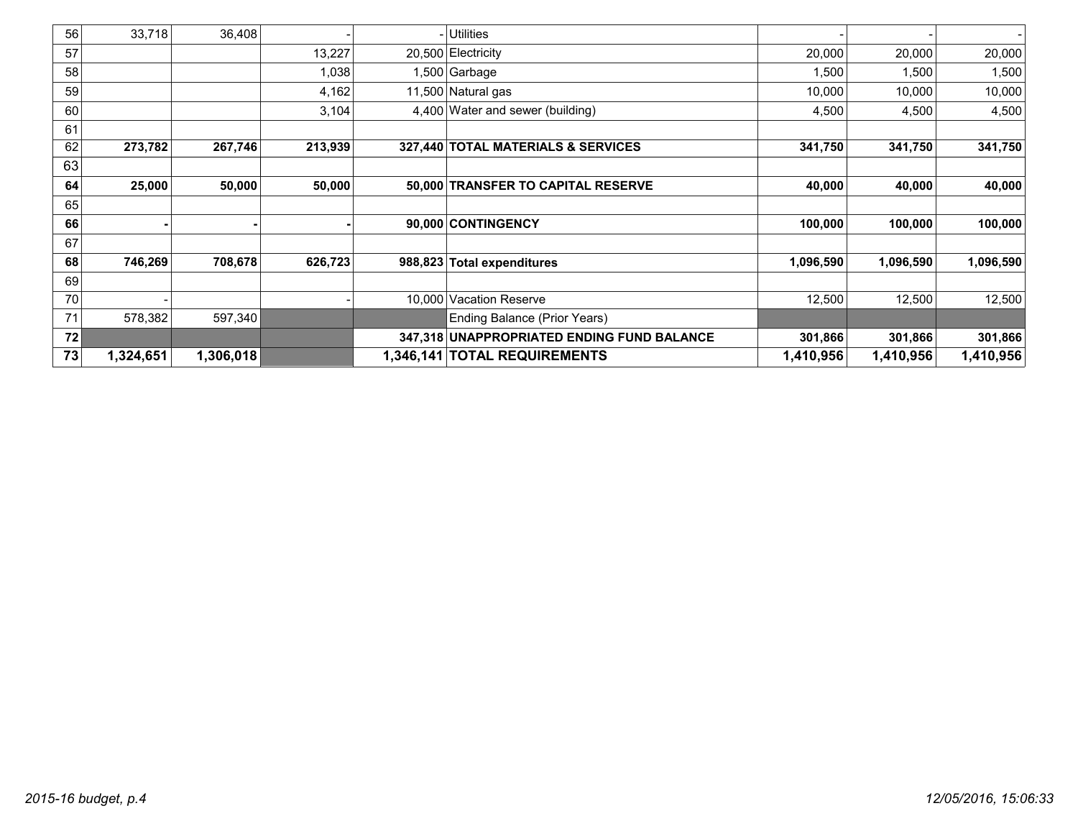| 56 | 33,718    | 36,408    |         |         | - Utilities                               |           |           |           |
|----|-----------|-----------|---------|---------|-------------------------------------------|-----------|-----------|-----------|
| 57 |           |           | 13,227  |         | 20,500 Electricity                        | 20,000    | 20,000    | 20,000    |
| 58 |           |           | 1,038   |         | 1,500 Garbage                             | 1,500     | 1,500     | 1,500     |
| 59 |           |           | 4,162   |         | 11,500 Natural gas                        | 10,000    | 10,000    | 10,000    |
| 60 |           |           | 3,104   |         | 4,400 Water and sewer (building)          | 4,500     | 4,500     | 4,500     |
| 61 |           |           |         |         |                                           |           |           |           |
| 62 | 273,782   | 267,746   | 213,939 |         | 327,440 TOTAL MATERIALS & SERVICES        | 341,750   | 341,750   | 341,750   |
| 63 |           |           |         |         |                                           |           |           |           |
| 64 | 25,000    | 50,000    | 50,000  |         | 50,000 TRANSFER TO CAPITAL RESERVE        | 40,000    | 40,000    | 40,000    |
| 65 |           |           |         |         |                                           |           |           |           |
| 66 |           |           |         |         | 90,000 CONTINGENCY                        | 100,000   | 100,000   | 100,000   |
| 67 |           |           |         |         |                                           |           |           |           |
| 68 | 746,269   | 708,678   | 626,723 |         | 988,823 Total expenditures                | 1,096,590 | 1,096,590 | 1,096,590 |
| 69 |           |           |         |         |                                           |           |           |           |
| 70 |           |           |         |         | 10.000 Vacation Reserve                   | 12,500    | 12,500    | 12,500    |
| 71 | 578,382   | 597,340   |         |         | Ending Balance (Prior Years)              |           |           |           |
| 72 |           |           |         | 347.318 | <b>UNAPPROPRIATED ENDING FUND BALANCE</b> | 301,866   | 301,866   | 301,866   |
| 73 | 1,324,651 | 1,306,018 |         |         | 1,346,141 TOTAL REQUIREMENTS              | 1,410,956 | 1,410,956 | 1,410,956 |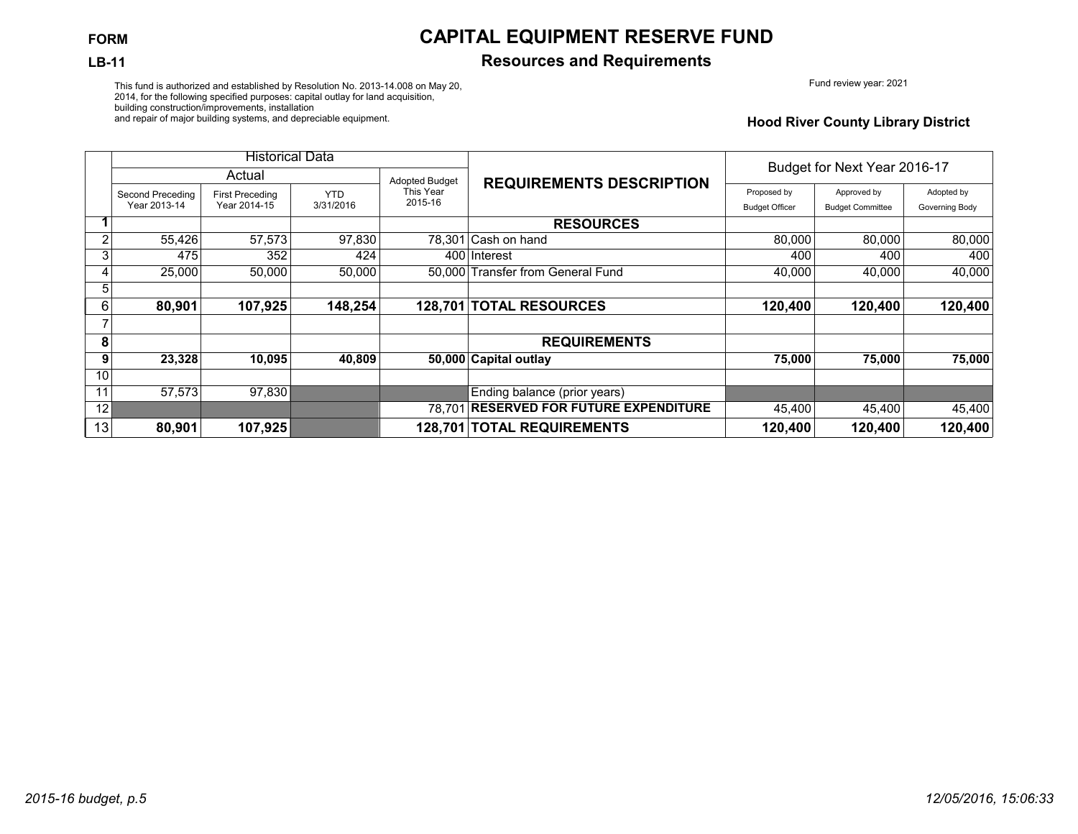### **LB-11 Resources and Requirements**

Fund review year: 2021

This fund is authorized and established by Resolution No. 2013-14.008 on May 20, 2014, for the following specified purposes: capital outlay for land acquisition, building construction/improvements, installation and repair of major building systems, and depreciable equipment.

**Hood River County Library District**

|    |                                  | <b>Historical Data</b>                 |                         |                       |                                        | Budget for Next Year 2016-17         |                                        |                              |
|----|----------------------------------|----------------------------------------|-------------------------|-----------------------|----------------------------------------|--------------------------------------|----------------------------------------|------------------------------|
|    |                                  | Actual                                 |                         | <b>Adopted Budget</b> | <b>REQUIREMENTS DESCRIPTION</b>        |                                      |                                        |                              |
|    | Second Preceding<br>Year 2013-14 | <b>First Preceding</b><br>Year 2014-15 | <b>YTD</b><br>3/31/2016 | This Year<br>2015-16  |                                        | Proposed by<br><b>Budget Officer</b> | Approved by<br><b>Budget Committee</b> | Adopted by<br>Governing Body |
|    |                                  |                                        |                         |                       | <b>RESOURCES</b>                       |                                      |                                        |                              |
| 2  | 55,426                           | 57,573                                 | 97,830                  |                       | 78.301 Cash on hand                    | 80,000                               | 80.000                                 | 80,000                       |
| 3  | 475                              | 352                                    | 424                     |                       | 400 Interest                           | 400                                  | 400                                    | 400                          |
|    | 25,000                           | 50.000                                 | 50,000                  |                       | 50.000 Transfer from General Fund      | 40.000                               | 40.000                                 | 40,000                       |
| 5  |                                  |                                        |                         |                       |                                        |                                      |                                        |                              |
| 6  | 80,901                           | 107,925                                | 148,254                 |                       | 128,701 TOTAL RESOURCES                | 120,400                              | 120,400                                | 120,400                      |
|    |                                  |                                        |                         |                       |                                        |                                      |                                        |                              |
| 8  |                                  |                                        |                         |                       | <b>REQUIREMENTS</b>                    |                                      |                                        |                              |
| 9  | 23,328                           | 10,095                                 | 40,809                  |                       | 50,000 Capital outlay                  | 75,000                               | 75,000                                 | 75,000                       |
| 10 |                                  |                                        |                         |                       |                                        |                                      |                                        |                              |
| 11 | 57,573                           | 97,830                                 |                         |                       | Ending balance (prior years)           |                                      |                                        |                              |
| 12 |                                  |                                        |                         |                       | 78,701 RESERVED FOR FUTURE EXPENDITURE | 45,400                               | 45,400                                 | 45,400                       |
| 13 | 80,901                           | 107,925                                |                         |                       | 128,701 TOTAL REQUIREMENTS             | 120,400                              | 120,400                                | 120,400                      |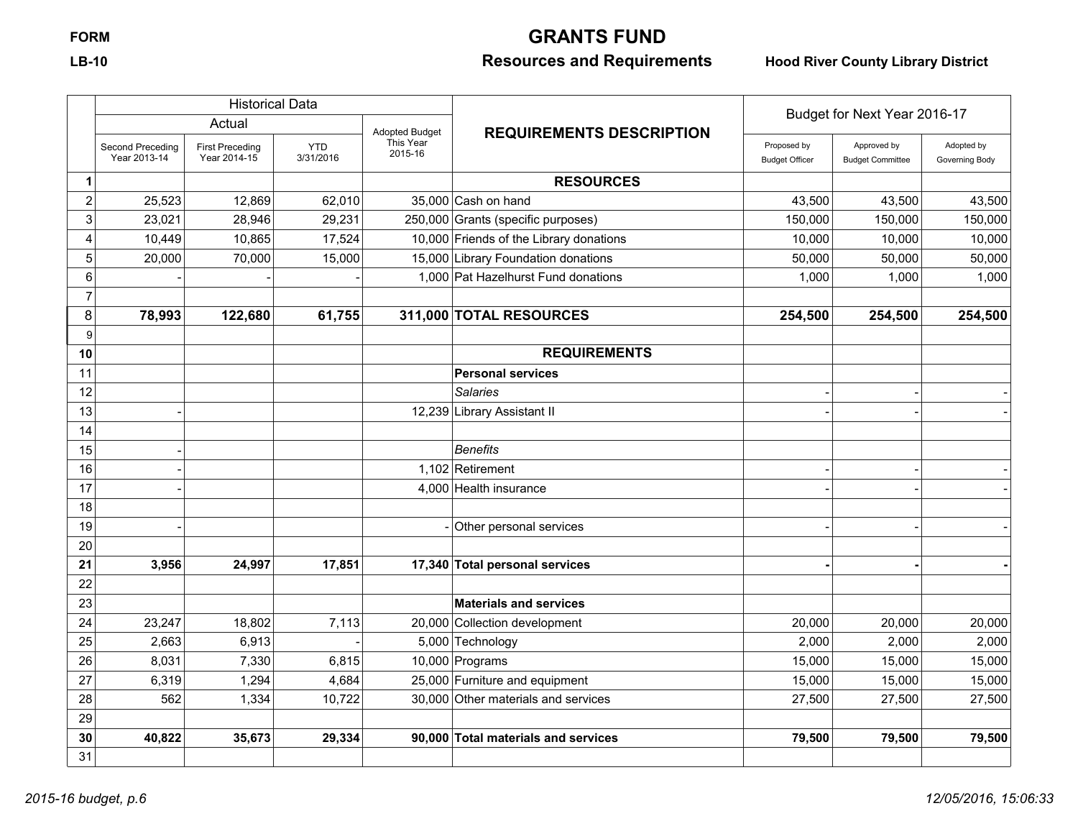## **FORM GRANTS FUND**

## **LB-10 Resources and Requirements Hood River County Library District**

|                |                                  | <b>Historical Data</b>                 |                         |                       |                                         | Budget for Next Year 2016-17         |                                        |                              |
|----------------|----------------------------------|----------------------------------------|-------------------------|-----------------------|-----------------------------------------|--------------------------------------|----------------------------------------|------------------------------|
|                |                                  | Actual                                 |                         | <b>Adopted Budget</b> | <b>REQUIREMENTS DESCRIPTION</b>         |                                      |                                        |                              |
|                | Second Preceding<br>Year 2013-14 | <b>First Preceding</b><br>Year 2014-15 | <b>YTD</b><br>3/31/2016 | This Year<br>2015-16  |                                         | Proposed by<br><b>Budget Officer</b> | Approved by<br><b>Budget Committee</b> | Adopted by<br>Governing Body |
| 1              |                                  |                                        |                         |                       | <b>RESOURCES</b>                        |                                      |                                        |                              |
| $\overline{c}$ | 25,523                           | 12,869                                 | 62,010                  |                       | $35,000$ Cash on hand                   | 43,500                               | 43,500                                 | 43,500                       |
| 3              | 23,021                           | 28,946                                 | 29,231                  |                       | 250,000 Grants (specific purposes)      | 150,000                              | 150,000                                | 150,000                      |
| 4              | 10,449                           | 10,865                                 | 17,524                  |                       | 10,000 Friends of the Library donations | 10,000                               | 10,000                                 | 10,000                       |
| $\mathbf 5$    | 20,000                           | 70,000                                 | 15,000                  |                       | 15,000 Library Foundation donations     | 50,000                               | 50,000                                 | 50,000                       |
| 6              |                                  |                                        |                         |                       | 1,000 Pat Hazelhurst Fund donations     | 1,000                                | 1,000                                  | 1,000                        |
| 7              |                                  |                                        |                         |                       |                                         |                                      |                                        |                              |
| 8              | 78,993                           | 122,680                                | 61,755                  |                       | 311,000 TOTAL RESOURCES                 | 254,500                              | 254,500                                | 254,500                      |
| 9              |                                  |                                        |                         |                       |                                         |                                      |                                        |                              |
| 10             |                                  |                                        |                         |                       | <b>REQUIREMENTS</b>                     |                                      |                                        |                              |
| 11             |                                  |                                        |                         |                       | <b>Personal services</b>                |                                      |                                        |                              |
| 12             |                                  |                                        |                         |                       | <b>Salaries</b>                         |                                      |                                        |                              |
| 13             |                                  |                                        |                         |                       | 12,239 Library Assistant II             |                                      |                                        |                              |
| 14             |                                  |                                        |                         |                       |                                         |                                      |                                        |                              |
| 15             |                                  |                                        |                         |                       | <b>Benefits</b>                         |                                      |                                        |                              |
| 16             |                                  |                                        |                         |                       | 1,102 Retirement                        |                                      |                                        |                              |
| 17             |                                  |                                        |                         |                       | 4,000 Health insurance                  |                                      |                                        |                              |
| 18             |                                  |                                        |                         |                       |                                         |                                      |                                        |                              |
| 19             |                                  |                                        |                         |                       | Other personal services                 |                                      |                                        |                              |
| 20             |                                  |                                        |                         |                       |                                         |                                      |                                        |                              |
| 21             | 3,956                            | 24,997                                 | 17,851                  |                       | 17,340 Total personal services          |                                      |                                        |                              |
| 22             |                                  |                                        |                         |                       |                                         |                                      |                                        |                              |
| 23             |                                  |                                        |                         |                       | <b>Materials and services</b>           |                                      |                                        |                              |
| 24             | 23,247                           | 18,802                                 | 7,113                   |                       | 20,000 Collection development           | 20,000                               | 20,000                                 | 20,000                       |
| 25             | 2,663                            | 6,913                                  |                         |                       | 5,000 Technology                        | 2,000                                | 2,000                                  | 2,000                        |
| 26             | 8,031                            | 7,330                                  | 6,815                   |                       | $10,000$ Programs                       | 15,000                               | 15,000                                 | 15,000                       |
| 27             | 6,319                            | 1,294                                  | 4,684                   |                       | 25,000 Furniture and equipment          | 15,000                               | 15,000                                 | 15,000                       |
| 28             | 562                              | 1,334                                  | 10,722                  |                       | 30,000 Other materials and services     | 27,500                               | 27,500                                 | 27,500                       |
| 29             |                                  |                                        |                         |                       |                                         |                                      |                                        |                              |
| 30             | 40,822                           | 35,673                                 | 29,334                  |                       | 90.000 Total materials and services     | 79,500                               | 79,500                                 | 79,500                       |
| 31             |                                  |                                        |                         |                       |                                         |                                      |                                        |                              |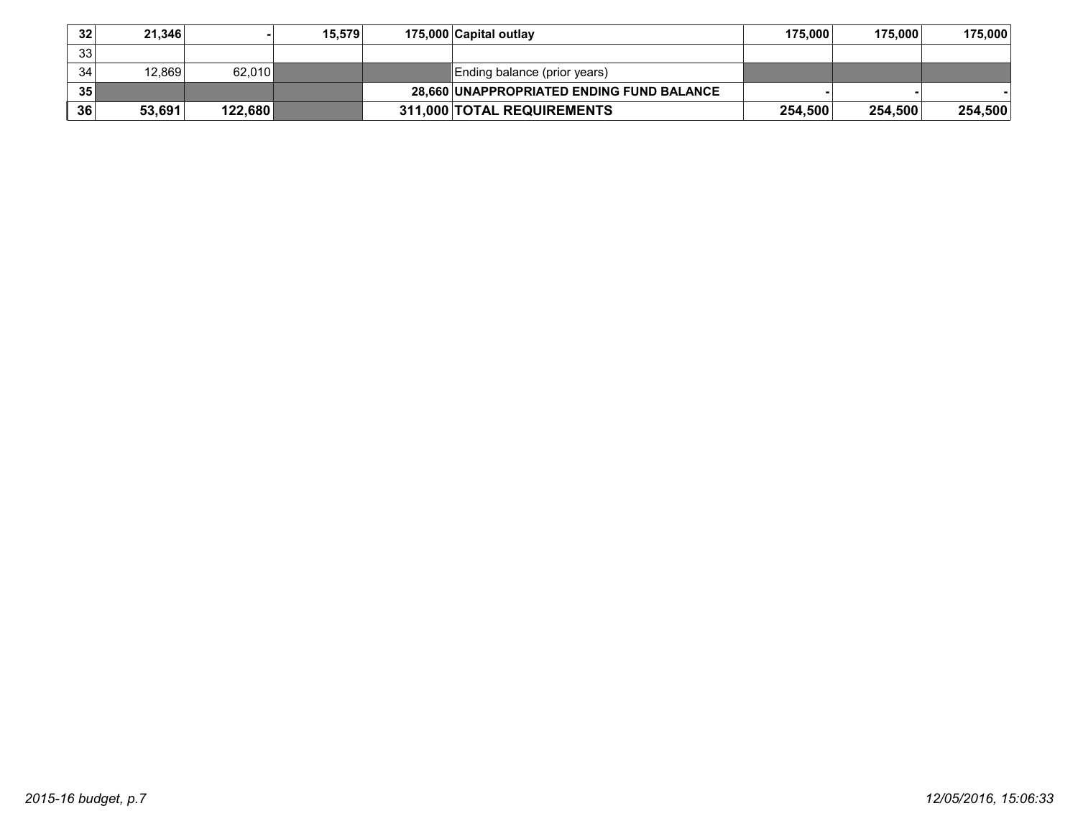| 32 | 21.346 |         | 15.579 | 175,000 Capital outlay                    | 175.000 | 175,000 | 175,000 |
|----|--------|---------|--------|-------------------------------------------|---------|---------|---------|
| 33 |        |         |        |                                           |         |         |         |
| 34 | 12.869 | 62.010  |        | Ending balance (prior years)              |         |         |         |
| 35 |        |         |        | 28,660 UNAPPROPRIATED ENDING FUND BALANCE |         |         |         |
| 36 | 53,691 | 122,680 |        | 311,000 TOTAL REQUIREMENTS                | 254,500 | 254,500 | 254,500 |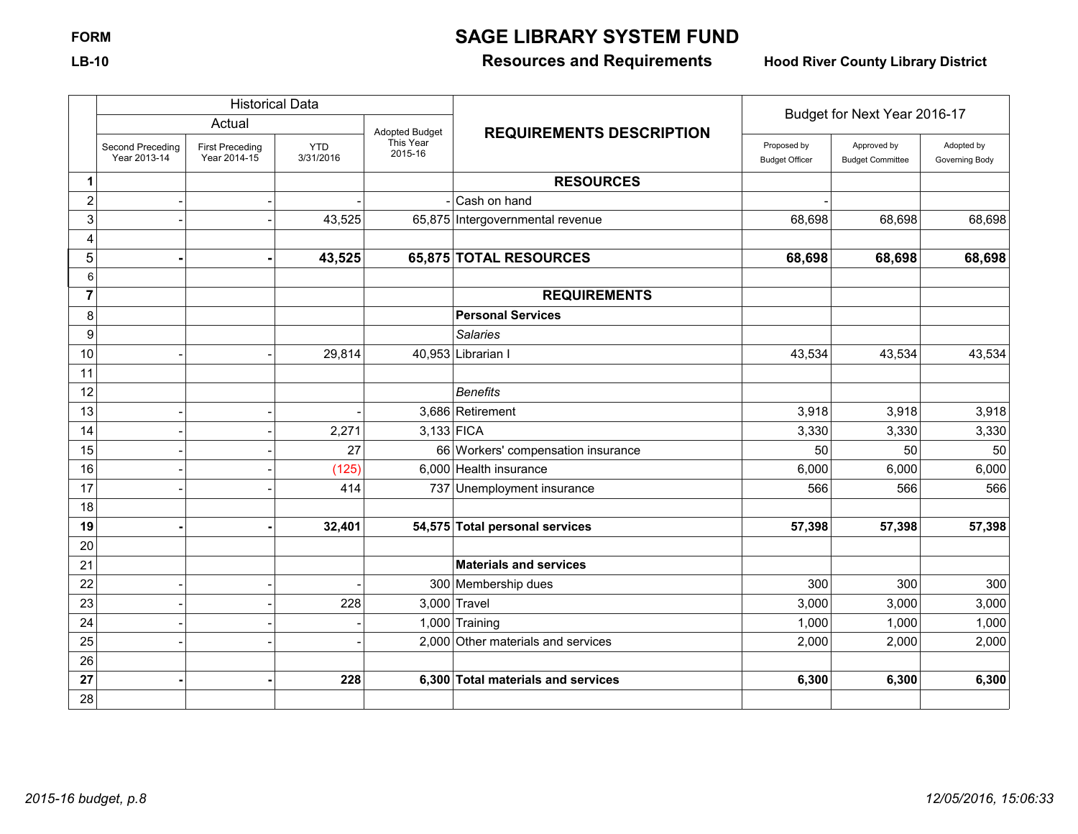# **FORM SAGE LIBRARY SYSTEM FUND**

## **LB-10 Resources and Requirements Hood River County Library District**

|                  | <b>Historical Data</b>           |                                        |                         |                       |                                    | Budget for Next Year 2016-17         |                                        |                              |
|------------------|----------------------------------|----------------------------------------|-------------------------|-----------------------|------------------------------------|--------------------------------------|----------------------------------------|------------------------------|
|                  |                                  | Actual                                 |                         | <b>Adopted Budget</b> | <b>REQUIREMENTS DESCRIPTION</b>    |                                      |                                        |                              |
|                  | Second Preceding<br>Year 2013-14 | <b>First Preceding</b><br>Year 2014-15 | <b>YTD</b><br>3/31/2016 | This Year<br>2015-16  |                                    | Proposed by<br><b>Budget Officer</b> | Approved by<br><b>Budget Committee</b> | Adopted by<br>Governing Body |
| 1                |                                  |                                        |                         |                       | <b>RESOURCES</b>                   |                                      |                                        |                              |
| $\overline{c}$   |                                  |                                        |                         |                       | Cash on hand                       |                                      |                                        |                              |
| 3                |                                  |                                        | 43,525                  |                       | 65,875 Intergovernmental revenue   | 68,698                               | 68,698                                 | 68,698                       |
| 4                |                                  |                                        |                         |                       |                                    |                                      |                                        |                              |
| 5                |                                  |                                        | 43,525                  |                       | 65,875 TOTAL RESOURCES             | 68,698                               | 68,698                                 | 68,698                       |
| 6                |                                  |                                        |                         |                       |                                    |                                      |                                        |                              |
| $\overline{7}$   |                                  |                                        |                         |                       | <b>REQUIREMENTS</b>                |                                      |                                        |                              |
| 8                |                                  |                                        |                         |                       | <b>Personal Services</b>           |                                      |                                        |                              |
| $\boldsymbol{9}$ |                                  |                                        |                         |                       | <b>Salaries</b>                    |                                      |                                        |                              |
| 10               |                                  |                                        | 29,814                  |                       | 40,953 Librarian I                 | 43,534                               | 43,534                                 | 43,534                       |
| 11               |                                  |                                        |                         |                       |                                    |                                      |                                        |                              |
| 12               |                                  |                                        |                         |                       | <b>Benefits</b>                    |                                      |                                        |                              |
| 13               |                                  |                                        |                         |                       | 3,686 Retirement                   | 3,918                                | 3,918                                  | 3,918                        |
| 14               |                                  |                                        | 2,271                   | $3,133$ FICA          |                                    | 3,330                                | 3,330                                  | 3,330                        |
| 15               |                                  |                                        | 27                      |                       | 66 Workers' compensation insurance | 50                                   | 50                                     | 50                           |
| 16               |                                  |                                        | (125)                   |                       | 6,000 Health insurance             | 6,000                                | 6,000                                  | 6,000                        |
| 17               |                                  |                                        | 414                     |                       | 737 Unemployment insurance         | 566                                  | 566                                    | 566                          |
| 18               |                                  |                                        |                         |                       |                                    |                                      |                                        |                              |
| 19               |                                  |                                        | 32,401                  |                       | 54,575 Total personal services     | 57,398                               | 57,398                                 | 57,398                       |
| 20               |                                  |                                        |                         |                       |                                    |                                      |                                        |                              |
| 21               |                                  |                                        |                         |                       | <b>Materials and services</b>      |                                      |                                        |                              |
| 22               |                                  |                                        |                         |                       | 300 Membership dues                | 300                                  | 300                                    | 300                          |
| 23               |                                  |                                        | 228                     |                       | 3,000 Travel                       | 3,000                                | 3,000                                  | 3,000                        |
| 24               |                                  |                                        |                         |                       | 1,000 Training                     | 1,000                                | 1,000                                  | 1,000                        |
| 25               |                                  |                                        |                         |                       | 2,000 Other materials and services | 2,000                                | 2,000                                  | 2,000                        |
| 26               |                                  |                                        |                         |                       |                                    |                                      |                                        |                              |
| 27               |                                  |                                        | 228                     |                       | 6,300 Total materials and services | 6,300                                | 6,300                                  | 6,300                        |
| 28               |                                  |                                        |                         |                       |                                    |                                      |                                        |                              |